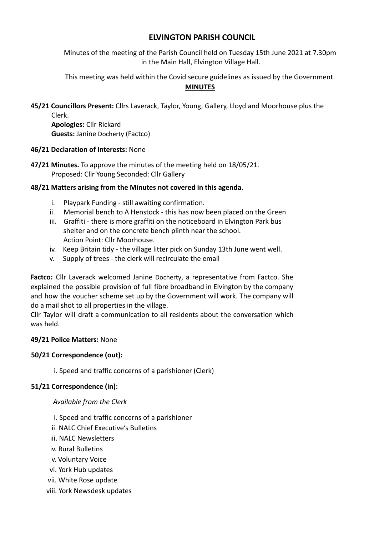# **ELVINGTON PARISH COUNCIL**

Minutes of the meeting of the Parish Council held on Tuesday 15th June 2021 at 7.30pm in the Main Hall, Elvington Village Hall.

This meeting was held within the Covid secure guidelines as issued by the Government.

## **MINUTES**

**45/21 Councillors Present:** Cllrs Laverack, Taylor, Young, Gallery, Lloyd and Moorhouse plus the Clerk.

**Apologies:** Cllr Rickard **Guests:** Janine Docherty (Factco)

## **46/21 Declaration of Interests:** None

**47/21 Minutes.** To approve the minutes of the meeting held on 18/05/21. Proposed: Cllr Young Seconded: Cllr Gallery

# **48/21 Matters arising from the Minutes not covered in this agenda.**

- i. Playpark Funding still awaiting confirmation.
- ii. Memorial bench to A Henstock this has now been placed on the Green
- iii. Graffiti there is more graffiti on the noticeboard in Elvington Park bus shelter and on the concrete bench plinth near the school. Action Point: Cllr Moorhouse.
- iv. Keep Britain tidy the village litter pick on Sunday 13th June went well.
- v. Supply of trees the clerk will recirculate the email

**Factco:** Cllr Laverack welcomed Janine Docherty, a representative from Factco. She explained the possible provision of full fibre broadband in Elvington by the company and how the voucher scheme set up by the Government will work. The company will do a mail shot to all properties in the village.

Cllr Taylor will draft a communication to all residents about the conversation which was held.

#### **49/21 Police Matters:** None

#### **50/21 Correspondence (out):**

i. Speed and traffic concerns of a parishioner (Clerk)

# **51/21 Correspondence (in):**

#### *Available from the Clerk*

- i. Speed and traffic concerns of a parishioner
- ii. NALC Chief Executive's Bulletins
- iii. NALC Newsletters
- iv. Rural Bulletins
- v. Voluntary Voice
- vi. York Hub updates
- vii. White Rose update
- viii. York Newsdesk updates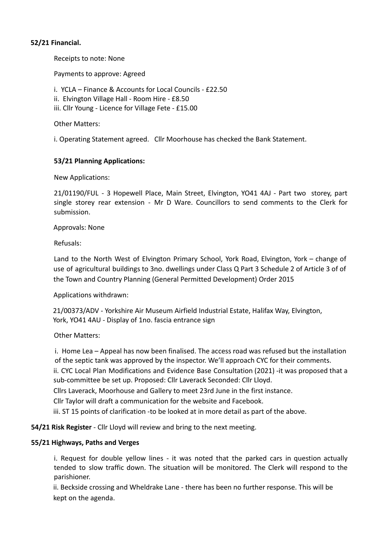## **52/21 Financial.**

Receipts to note: None

Payments to approve: Agreed

- i. YCLA Finance & Accounts for Local Councils £22.50
- ii. Elvington Village Hall Room Hire £8.50
- iii. Cllr Young Licence for Village Fete £15.00

Other Matters:

i. Operating Statement agreed. Cllr Moorhouse has checked the Bank Statement.

## **53/21 Planning Applications:**

New Applications:

21/01190/FUL - 3 Hopewell Place, Main Street, Elvington, YO41 4AJ - Part two storey, part single storey rear extension - Mr D Ware. Councillors to send comments to the Clerk for submission.

#### Approvals: None

Refusals:

Land to the North West of Elvington Primary School, York Road, Elvington, York – change of use of agricultural buildings to 3no. dwellings under Class Q Part 3 Schedule 2 of Article 3 of of the Town and Country Planning (General Permitted Development) Order 2015

Applications withdrawn:

21/00373/ADV - Yorkshire Air Museum Airfield Industrial Estate, Halifax Way, Elvington, York, YO41 4AU - Display of 1no. fascia entrance sign

Other Matters:

i. Home Lea – Appeal has now been finalised. The access road was refused but the installation of the septic tank was approved by the inspector. We'll approach CYC for their comments.

ii. CYC Local Plan Modifications and Evidence Base Consultation (2021) -it was proposed that a sub-committee be set up. Proposed: Cllr Laverack Seconded: Cllr Lloyd.

Cllrs Laverack, Moorhouse and Gallery to meet 23rd June in the first instance.

Cllr Taylor will draft a communication for the website and Facebook.

iii. ST 15 points of clarification -to be looked at in more detail as part of the above.

**54/21 Risk Register** - Cllr Lloyd will review and bring to the next meeting.

#### **55/21 Highways, Paths and Verges**

i. Request for double yellow lines - it was noted that the parked cars in question actually tended to slow traffic down. The situation will be monitored. The Clerk will respond to the parishioner.

ii. Beckside crossing and Wheldrake Lane - there has been no further response. This will be kept on the agenda.